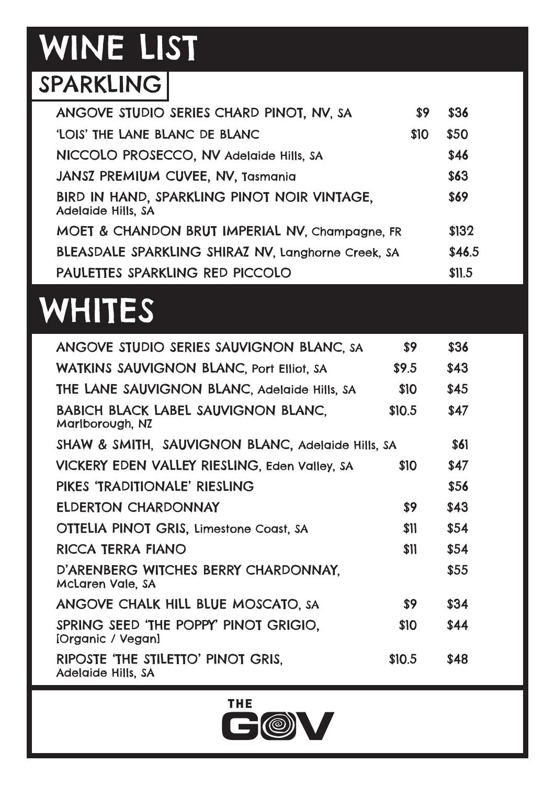# WINE LIST

#### SPARKLING

| ANGOVE STUDIO SERIES CHARD PINOT, NV, SA                          | \$9  | \$36   |
|-------------------------------------------------------------------|------|--------|
| 'LOIS' THE LANE BLANC DE BLANC                                    | \$10 | \$50   |
| NICCOLO PROSECCO, NV Adelaide Hills, SA                           |      | \$46   |
| <b>JANSZ PREMIUM CUVEE, NV, Tasmania</b>                          |      | \$63   |
| BIRD IN HAND, SPARKLING PINOT NOIR VINTAGE,<br>Adelaide Hills, SA |      | \$69   |
| MOET & CHANDON BRUT IMPERIAL NV, Champagne, FR                    |      | \$132  |
| BLEASDALE SPARKLING SHIRAZ NV, Langhorne Creek, SA                |      | \$46.5 |
| PAULETTES SPARKLING RED PICCOLO                                   |      | \$11.5 |

## **WHITES**

| ANGOVE STUDIO SERIES SAUVIGNON BLANC, SA                      | \$9    | \$36 |  |
|---------------------------------------------------------------|--------|------|--|
| <b>WATKINS SAUVIGNON BLANC, Port Elliot, SA</b>               | \$9.5  | \$43 |  |
| THE LANE SAUVIGNON BLANC, Adelaide Hills, SA                  | \$10   | \$45 |  |
| <b>BABICH BLACK LABEL SAUVIGNON BLANC.</b><br>Marlborough, NZ | \$10.5 | \$47 |  |
| SHAW & SMITH, SAUVIGNON BLANC, Adelaide Hills, SA             |        | \$61 |  |
| VICKERY EDEN VALLEY RIESLING, Eden Valley, SA                 | \$10   | \$47 |  |
| PIKES 'TRADITIONALE' RIESLING                                 |        | \$56 |  |
| <b>ELDERTON CHARDONNAY</b>                                    | \$9    | \$43 |  |
| OTTELIA PINOT GRIS, Limestone Coast, SA                       | \$11   | \$54 |  |
| RICCA TERRA FIANO                                             | \$11   | \$54 |  |
| D'ARENBERG WITCHES BERRY CHARDONNAY.<br>McLaren Vale, SA      |        | \$55 |  |
| ANGOVE CHALK HILL BLUE MOSCATO, SA                            | \$9    | \$34 |  |
| SPRING SEED 'THE POPPY' PINOT GRIGIO.<br>[Organic / Vegan]    | \$10   | \$44 |  |
| RIPOSTE 'THE STILETTO' PINOT GRIS.<br>Adelaide Hills, SA      | \$10.5 | \$48 |  |